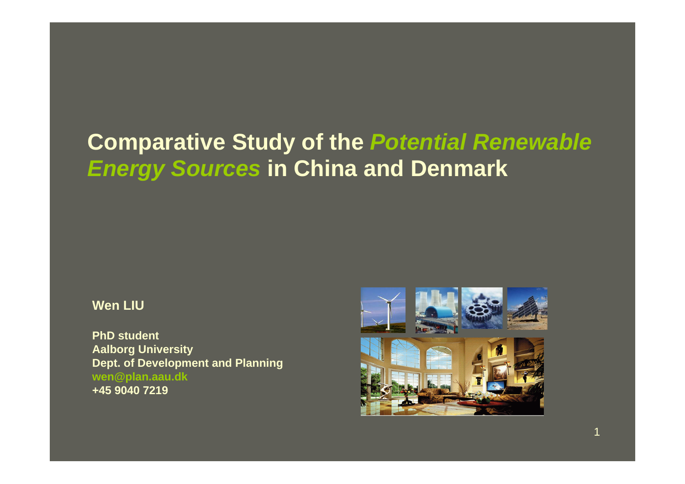#### **Comparative Study of the** *Potential Renewable Energy Sources* **in China and Denmark**

#### **Wen LIU**

**PhD student Aalborg University Dept. of Development and Planning wen@plan.aau.dk +45 9040 7219**

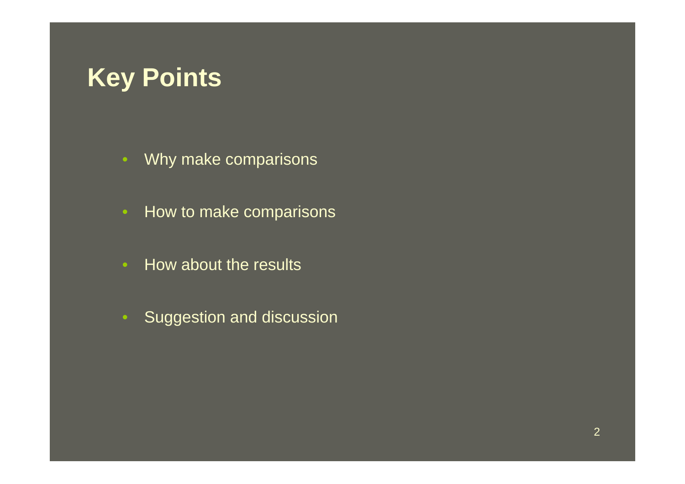## **Key Points**

- Why make comparisons
- How to make comparisons
- How about the results
- Suggestion and discussion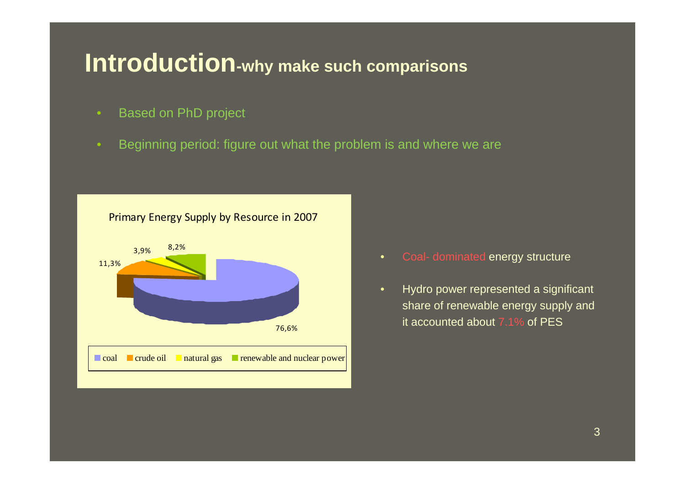#### **Introduction-why make such comparisons**

- Based on PhD project
- Beginning period: figure out what the problem is and where we are



- Coal- dominated energy structure
- Hydro power represented a significant share of renewable energy supply and it accounted about 7.1% of PES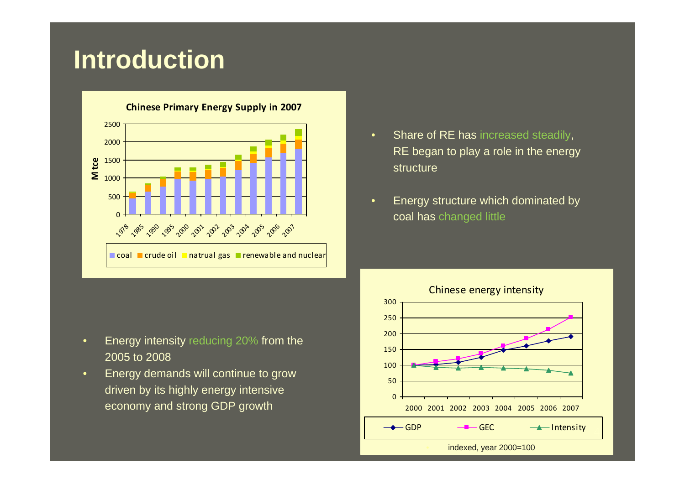### **Introduction**



- Energy intensity reducing 20% from the 2005 to 2008
- Energy demands will continue to grow driven by its highly energy intensive economy and strong GDP growth
- Share of RE has increased steadily, RE began to play a role in the energy structure
- Energy structure which dominated by coal has changed little

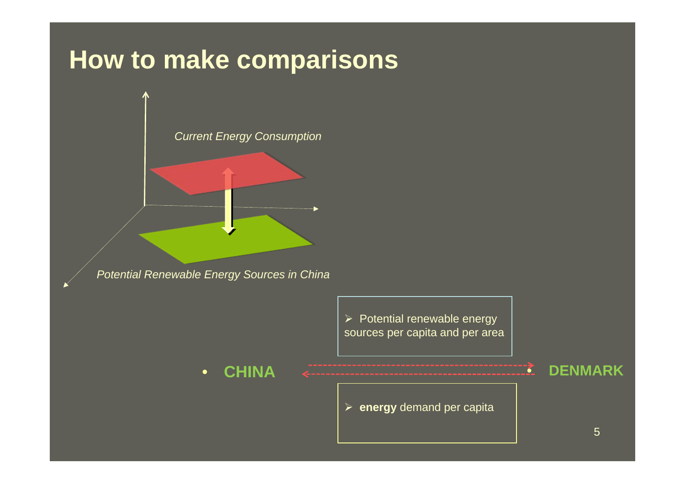## **How to make comparisons**



*Potential Renewable Energy Sources in China*

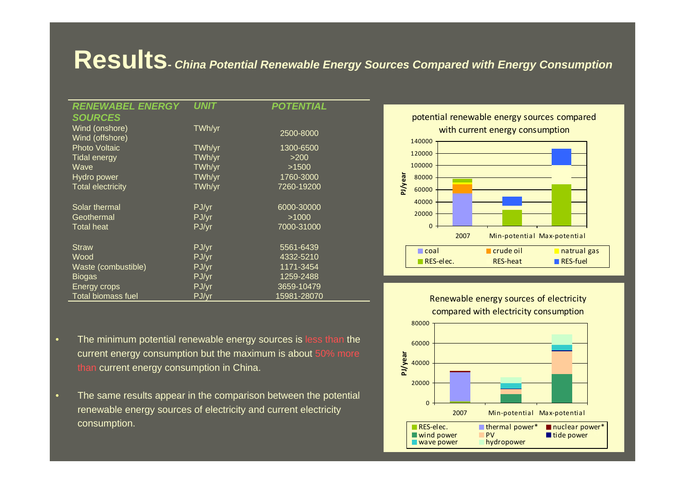#### **Results-** *China Potential Renewable Energy Sources Compared with Energy Consumption*

| <b>RENEWABEL ENERGY</b>   | <b>UNIT</b> | <b>POTENTIAL</b> |
|---------------------------|-------------|------------------|
| <b>SOURCES</b>            |             |                  |
| Wind (onshore)            | TWh/yr      | 2500-8000        |
| Wind (offshore)           |             |                  |
| <b>Photo Voltaic</b>      | TWh/yr      | 1300-6500        |
| <b>Tidal energy</b>       | TWh/yr      | >200             |
| Wave                      | TWh/yr      | >1500            |
| Hydro power               | TWh/yr      | 1760-3000        |
| <b>Total electricity</b>  | TWh/yr      | 7260-19200       |
|                           |             |                  |
| Solar thermal             | PJ/yr       | 6000-30000       |
| Geothermal                | PJ/yr       | >1000            |
| <b>Total heat</b>         | PJ/yr       | 7000-31000       |
|                           |             |                  |
| <b>Straw</b>              | PJ/yr       | 5561-6439        |
| Wood                      | PJ/yr       | 4332-5210        |
| Waste (combustible)       | PJ/yr       | 1171-3454        |
| <b>Biogas</b>             | PJ/yr       | 1259-2488        |
| Energy crops              | PJ/yr       | 3659-10479       |
| <b>Total biomass fuel</b> | PJ/yr       | 15981-28070      |

potential renewable energy sources compared with current energy consumption





• The same results appear in the comparison between the potential renewable energy sources of electricity and current electricity consumption.

Renewable energy sources of electricity compared with electricity consumption

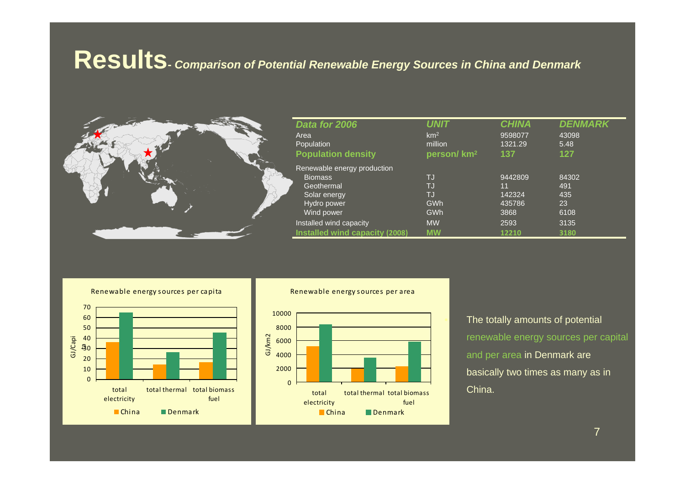#### **Results-** *Comparison of Potential Renewable Energy Sources in China and Denmark*



| Data for 2006                                                                                            | UNIT                                | <b>CHINA</b>                              | DENMARK                           |
|----------------------------------------------------------------------------------------------------------|-------------------------------------|-------------------------------------------|-----------------------------------|
| Area                                                                                                     | km <sup>2</sup>                     | 9598077                                   | 43098                             |
| Population                                                                                               | million                             | 1321.29                                   | 5.48                              |
| <b>Population density</b>                                                                                | person/km <sup>2</sup>              | 137                                       | 127                               |
| Renewable energy production<br><b>Biomass</b><br>Geothermal<br>Solar energy<br>Hydro power<br>Wind power | TJ<br>TJ<br>TJ<br><b>GWh</b><br>GWh | 9442809<br>11<br>142324<br>435786<br>3868 | 84302<br>491<br>435<br>23<br>6108 |
| Installed wind capacity                                                                                  | <b>MW</b>                           | 2593                                      | 3135                              |
| Installed wind capacity (2008)                                                                           | <b>MW</b>                           | 12210                                     | 3180                              |

Renewable energy <sup>s</sup> ources per capita



Renewable energy s ources per a rea



The totally amounts of potential renewable energy sources per capital and per area in Denmark are basically two times as many as in China.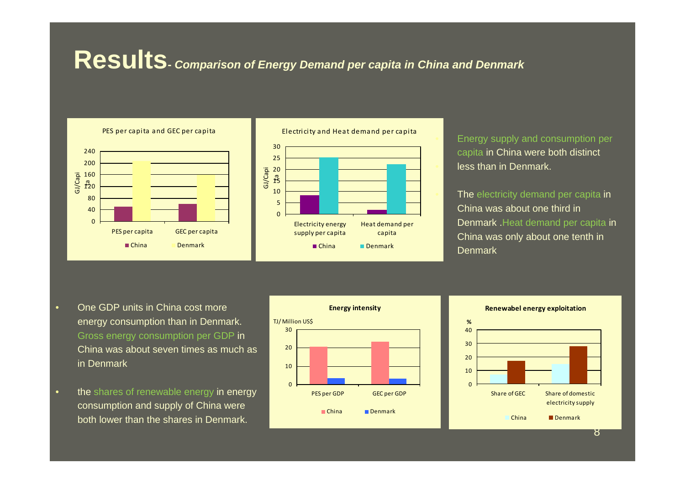#### **Results-** *Comparison of Energy Demand per capita in China and Denmark*



Electri ci ty and Heat demand per capita Electricity energy supply per capita Heat demand per capita China Denmark

• Energy supply and consumption per capita in China were both distinct less than in Denmark.

The electricity demand per capita in China was about one third in Denmark .Heat demand per capita in China was only about one tenth in **Denmark** 

- One GDP units in China cost more energy consumption than in Denmark. Gross energy consumption per GDP in China was about seven times as much as in Denmark
- the shares of renewable energy in energy consumption and supply of China were both lower than the shares in Denmark.



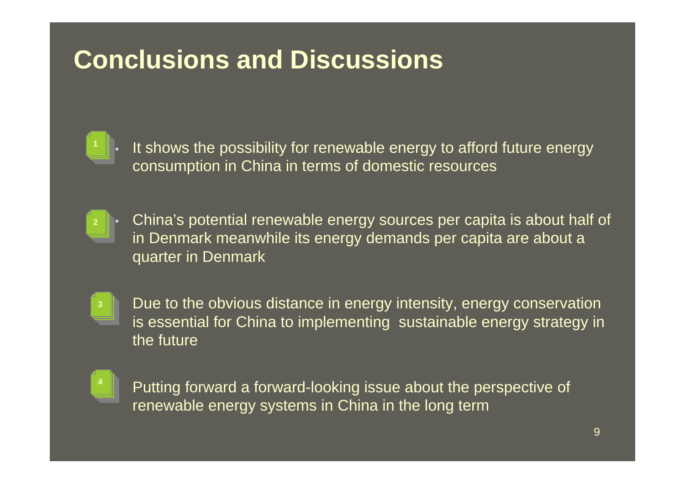## **Conclusions and Discussions**

It shows the possibility for renewable energy to afford future energy consumption in China in terms of domestic resources

• China's potential renewable energy sources per capita is about half of in Denmark meanwhile its energy demands per capita are about a quarter in Denmark **2**



• Due to the obvious distance in energy intensity, energy conservation is essential for China to implementing sustainable energy strategy in the future



• Putting forward a forward-looking issue about the perspective of renewable energy systems in China in the long term